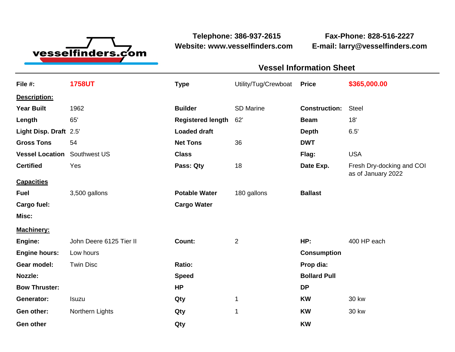

**Telephone: 386-937-2615 Fax-Phone: 828-516-2227 Website: www.vesselfinders.com E-mail: larry@vesselfinders.com**

## **Vessel Information Sheet Vessel Information Sheet**

| File #:                | <b>1758UT</b>           | <b>Type</b>              | Utility/Tug/Crewboat | <b>Price</b>         | \$365,000.00                                    |
|------------------------|-------------------------|--------------------------|----------------------|----------------------|-------------------------------------------------|
| Description:           |                         |                          |                      |                      |                                                 |
| <b>Year Built</b>      | 1962                    | <b>Builder</b>           | <b>SD Marine</b>     | <b>Construction:</b> | <b>Steel</b>                                    |
| Length                 | 65'                     | <b>Registered length</b> | 62'                  | <b>Beam</b>          | 18'                                             |
| Light Disp. Draft 2.5' |                         | <b>Loaded draft</b>      |                      | <b>Depth</b>         | 6.5'                                            |
| <b>Gross Tons</b>      | 54                      | <b>Net Tons</b>          | 36                   | <b>DWT</b>           |                                                 |
| <b>Vessel Location</b> | Southwest US            | <b>Class</b>             |                      | Flag:                | <b>USA</b>                                      |
| <b>Certified</b>       | Yes                     | Pass: Qty                | 18                   | Date Exp.            | Fresh Dry-docking and COI<br>as of January 2022 |
| <b>Capacities</b>      |                         |                          |                      |                      |                                                 |
| <b>Fuel</b>            | 3,500 gallons           | <b>Potable Water</b>     | 180 gallons          | <b>Ballast</b>       |                                                 |
| Cargo fuel:            |                         | <b>Cargo Water</b>       |                      |                      |                                                 |
| Misc:                  |                         |                          |                      |                      |                                                 |
| <b>Machinery:</b>      |                         |                          |                      |                      |                                                 |
| Engine:                | John Deere 6125 Tier II | Count:                   | 2                    | HP:                  | 400 HP each                                     |
| <b>Engine hours:</b>   | Low hours               |                          |                      | <b>Consumption</b>   |                                                 |
| Gear model:            | <b>Twin Disc</b>        | Ratio:                   |                      | Prop dia:            |                                                 |
| Nozzle:                |                         | <b>Speed</b>             |                      | <b>Bollard Pull</b>  |                                                 |
| <b>Bow Thruster:</b>   |                         | <b>HP</b>                |                      | <b>DP</b>            |                                                 |
| Generator:             | Isuzu                   | Qty                      | 1                    | <b>KW</b>            | 30 kw                                           |
| Gen other:             | Northern Lights         | Qty                      | $\mathbf{1}$         | <b>KW</b>            | <b>30 kw</b>                                    |
| Gen other              |                         | Qty                      |                      | <b>KW</b>            |                                                 |